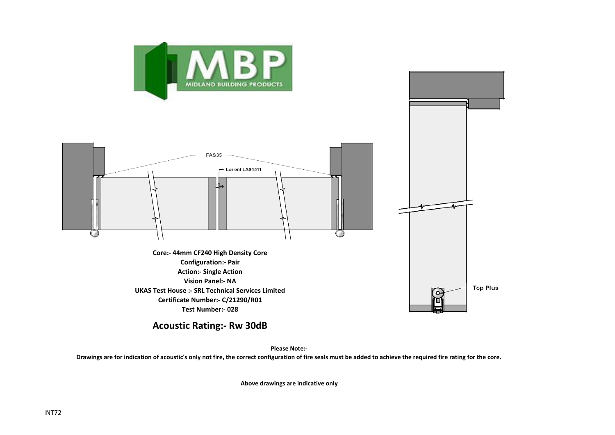



**Acoustic Rating:- Rw 30dB**

**Please Note:-** 

**Drawings are for indication of acoustic's only not fire, the correct configuration of fire seals must be added to achieve the required fire rating for the core.**

**Above drawings are indicative only**